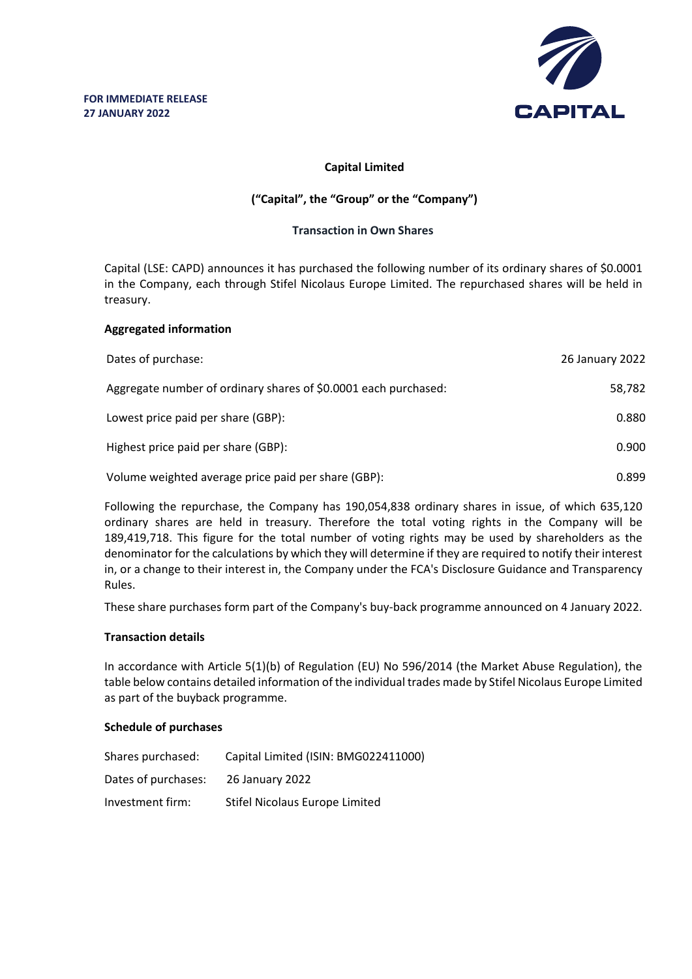

# **Capital Limited**

# **("Capital", the "Group" or the "Company")**

## **Transaction in Own Shares**

Capital (LSE: CAPD) announces it has purchased the following number of its ordinary shares of \$0.0001 in the Company, each through Stifel Nicolaus Europe Limited. The repurchased shares will be held in treasury.

### **Aggregated information**

| Dates of purchase:                                              | 26 January 2022 |
|-----------------------------------------------------------------|-----------------|
| Aggregate number of ordinary shares of \$0.0001 each purchased: | 58,782          |
| Lowest price paid per share (GBP):                              | 0.880           |
| Highest price paid per share (GBP):                             | 0.900           |
| Volume weighted average price paid per share (GBP):             | 0.899           |

Following the repurchase, the Company has 190,054,838 ordinary shares in issue, of which 635,120 ordinary shares are held in treasury. Therefore the total voting rights in the Company will be 189,419,718. This figure for the total number of voting rights may be used by shareholders as the denominator for the calculations by which they will determine if they are required to notify their interest in, or a change to their interest in, the Company under the FCA's Disclosure Guidance and Transparency Rules.

These share purchases form part of the Company's buy-back programme announced on 4 January 2022.

# **Transaction details**

In accordance with Article 5(1)(b) of Regulation (EU) No 596/2014 (the Market Abuse Regulation), the table below contains detailed information of the individual trades made by Stifel Nicolaus Europe Limited as part of the buyback programme.

# **Schedule of purchases**

| Shares purchased:   | Capital Limited (ISIN: BMG022411000) |
|---------------------|--------------------------------------|
| Dates of purchases: | 26 January 2022                      |
| Investment firm:    | Stifel Nicolaus Europe Limited       |